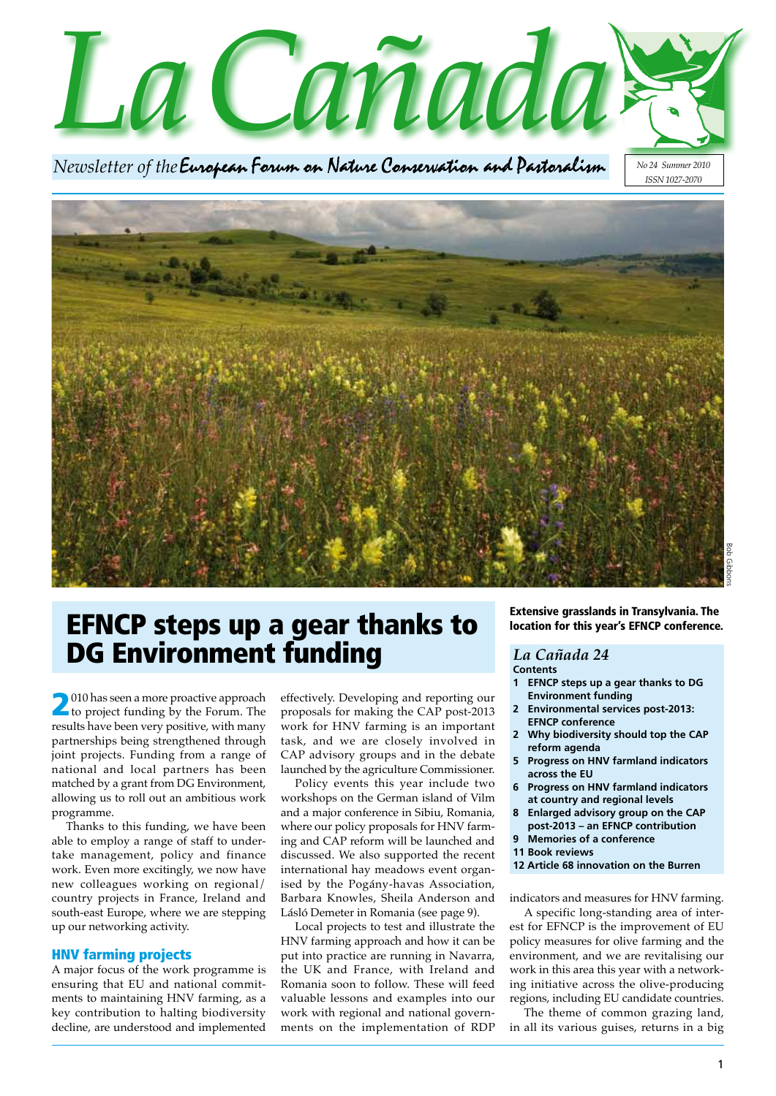*LaCañada*

*Newsletter of the* 

*No 24 Summer 2010 ISSN 1027-2070*



## EFNCP steps up a gear thanks to DG Environment funding

2010 has seen a more proactive approach to project funding by the Forum. The results have been very positive, with many partnerships being strengthened through joint projects. Funding from a range of national and local partners has been matched by a grant from DG Environment, allowing us to roll out an ambitious work programme.

Thanks to this funding, we have been able to employ a range of staff to undertake management, policy and finance work. Even more excitingly, we now have new colleagues working on regional/ country projects in France, Ireland and south-east Europe, where we are stepping up our networking activity.

### HNV farming projects

A major focus of the work programme is ensuring that EU and national commitments to maintaining HNV farming, as a key contribution to halting biodiversity decline, are understood and implemented

effectively. Developing and reporting our proposals for making the CAP post-2013 work for HNV farming is an important task, and we are closely involved in CAP advisory groups and in the debate launched by the agriculture Commissioner.

Policy events this year include two workshops on the German island of Vilm and a major conference in Sibiu, Romania, where our policy proposals for HNV farming and CAP reform will be launched and discussed. We also supported the recent international hay meadows event organised by the Pogány-havas Association, Barbara Knowles, Sheila Anderson and Lásló Demeter in Romania (see page 9).

Local projects to test and illustrate the HNV farming approach and how it can be put into practice are running in Navarra, the UK and France, with Ireland and Romania soon to follow. These will feed valuable lessons and examples into our work with regional and national governments on the implementation of RDP Extensive grasslands in Transylvania. The location for this year's EFNCP conference.

#### *La Cañada 24* **Contents**

- **1 EFNCP steps up a gear thanks to DG Environment funding**
- **2 Environmental services post-2013: EFNCP conference**
- **2 Why biodiversity should top the CAP reform agenda**
- **5 Progress on HNV farmland indicators across the EU**
- **6 Progress on HNV farmland indicators at country and regional levels**
- **8 Enlarged advisory group on the CAP post-2013 – an EFNCP contribution**
- **9 Memories of a conference**
- **11 Book reviews**
- **12 Article 68 innovation on the Burren**

indicators and measures for HNV farming.

A specific long-standing area of interest for EFNCP is the improvement of EU policy measures for olive farming and the environment, and we are revitalising our work in this area this year with a networking initiative across the olive-producing regions, including EU candidate countries.

The theme of common grazing land, in all its various guises, returns in a big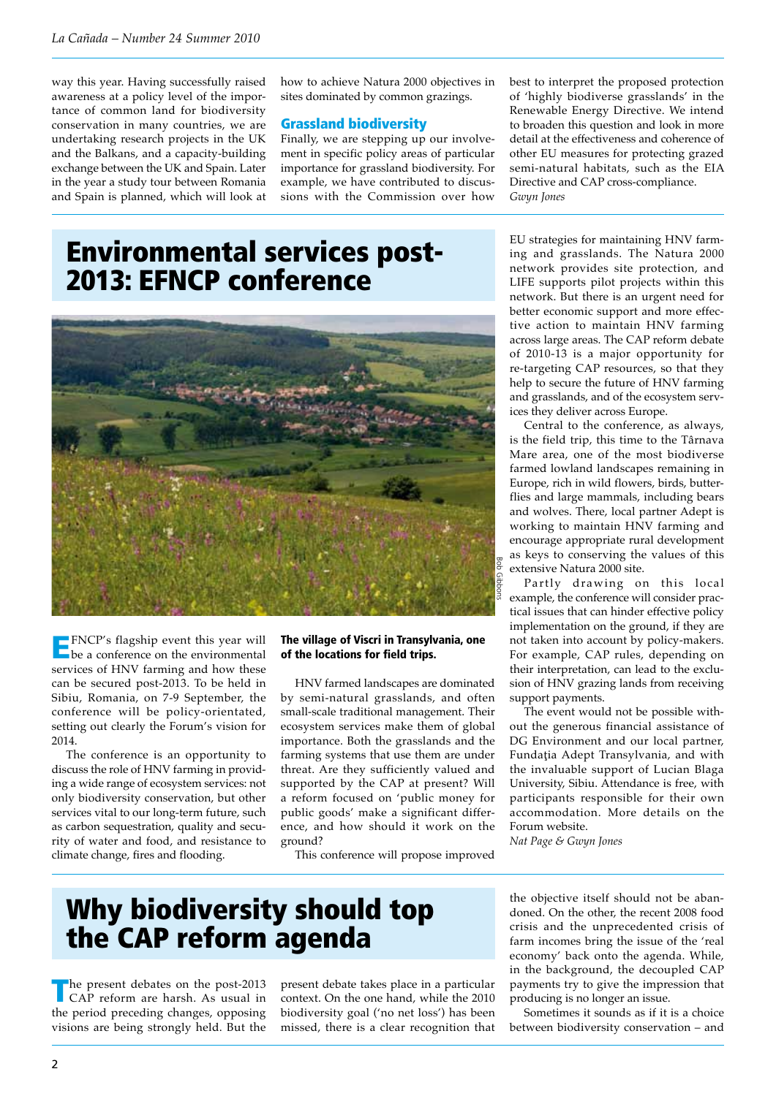way this year. Having successfully raised awareness at a policy level of the importance of common land for biodiversity conservation in many countries, we are undertaking research projects in the UK and the Balkans, and a capacity-building exchange between the UK and Spain. Later in the year a study tour between Romania and Spain is planned, which will look at

how to achieve Natura 2000 objectives in sites dominated by common grazings.

### Grassland biodiversity

Finally, we are stepping up our involvement in specific policy areas of particular importance for grassland biodiversity. For example, we have contributed to discussions with the Commission over how best to interpret the proposed protection of 'highly biodiverse grasslands' in the Renewable Energy Directive. We intend to broaden this question and look in more detail at the effectiveness and coherence of other EU measures for protecting grazed semi-natural habitats, such as the EIA Directive and CAP cross-compliance. *Gwyn Jones*

# Environmental services post-2013: EFNCP conference



EFNCP's flagship event this year will be a conference on the environmental services of HNV farming and how these can be secured post-2013. To be held in Sibiu, Romania, on 7-9 September, the conference will be policy-orientated, setting out clearly the Forum's vision for 2014.

The conference is an opportunity to discuss the role of HNV farming in providing a wide range of ecosystem services: not only biodiversity conservation, but other services vital to our long-term future, such as carbon sequestration, quality and security of water and food, and resistance to climate change, fires and flooding.

#### The village of Viscri in Transylvania, one of the locations for field trips.

HNV farmed landscapes are dominated by semi-natural grasslands, and often small-scale traditional management. Their ecosystem services make them of global importance. Both the grasslands and the farming systems that use them are under threat. Are they sufficiently valued and supported by the CAP at present? Will a reform focused on 'public money for public goods' make a significant difference, and how should it work on the ground?

This conference will propose improved

EU strategies for maintaining HNV farming and grasslands. The Natura 2000 network provides site protection, and LIFE supports pilot projects within this network. But there is an urgent need for better economic support and more effective action to maintain HNV farming across large areas. The CAP reform debate of 2010-13 is a major opportunity for re-targeting CAP resources, so that they help to secure the future of HNV farming and grasslands, and of the ecosystem services they deliver across Europe.

Central to the conference, as always, is the field trip, this time to the Târnava Mare area, one of the most biodiverse farmed lowland landscapes remaining in Europe, rich in wild flowers, birds, butterflies and large mammals, including bears and wolves. There, local partner Adept is working to maintain HNV farming and encourage appropriate rural development as keys to conserving the values of this extensive Natura 2000 site.

Partly drawing on this local example, the conference will consider practical issues that can hinder effective policy implementation on the ground, if they are not taken into account by policy-makers. For example, CAP rules, depending on their interpretation, can lead to the exclusion of HNV grazing lands from receiving support payments.

The event would not be possible without the generous financial assistance of DG Environment and our local partner, Fundaţia Adept Transylvania, and with the invaluable support of Lucian Blaga University, Sibiu. Attendance is free, with participants responsible for their own accommodation. More details on the Forum website.

*Nat Page & Gwyn Jones*

# Why biodiversity should top the CAP reform agenda

he present debates on the post-2013 CAP reform are harsh. As usual in the period preceding changes, opposing visions are being strongly held. But the present debate takes place in a particular context. On the one hand, while the 2010 biodiversity goal ('no net loss') has been missed, there is a clear recognition that the objective itself should not be abandoned. On the other, the recent 2008 food crisis and the unprecedented crisis of farm incomes bring the issue of the 'real economy' back onto the agenda. While, in the background, the decoupled CAP payments try to give the impression that producing is no longer an issue.

Sometimes it sounds as if it is a choice between biodiversity conservation – and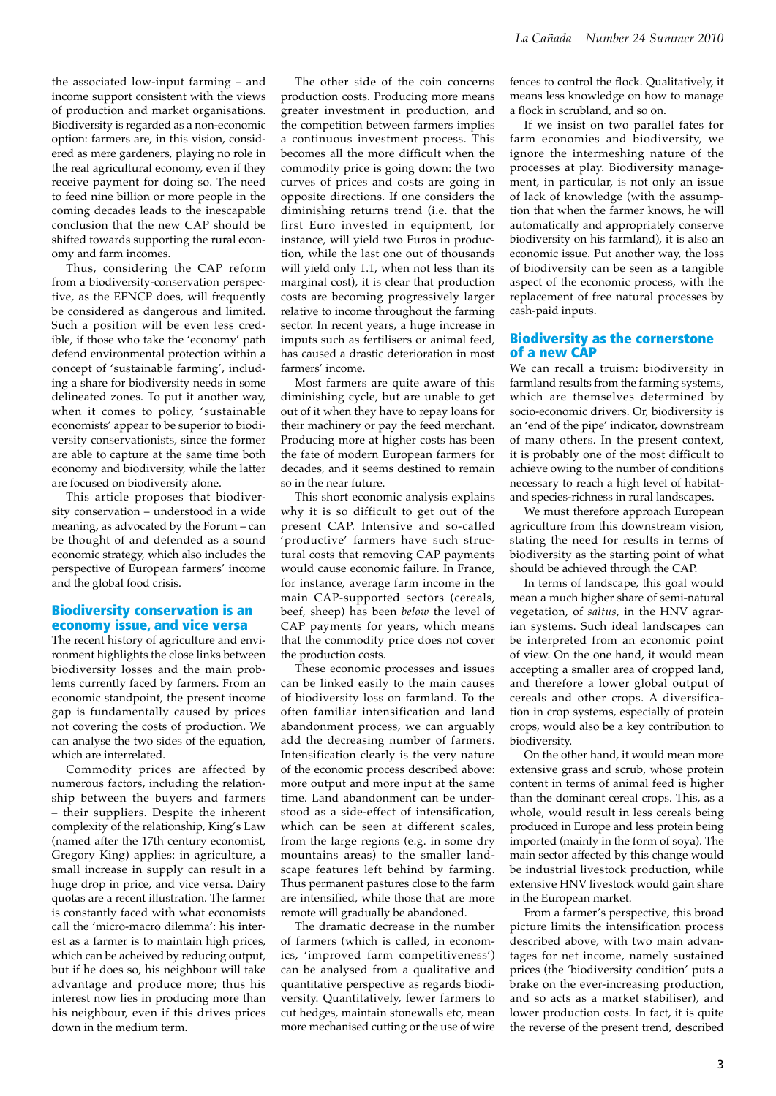the associated low-input farming – and income support consistent with the views of production and market organisations. Biodiversity is regarded as a non-economic option: farmers are, in this vision, considered as mere gardeners, playing no role in the real agricultural economy, even if they receive payment for doing so. The need to feed nine billion or more people in the coming decades leads to the inescapable conclusion that the new CAP should be shifted towards supporting the rural economy and farm incomes.

Thus, considering the CAP reform from a biodiversity-conservation perspective, as the EFNCP does, will frequently be considered as dangerous and limited. Such a position will be even less credible, if those who take the 'economy' path defend environmental protection within a concept of 'sustainable farming', including a share for biodiversity needs in some delineated zones. To put it another way, when it comes to policy, 'sustainable economists' appear to be superior to biodiversity conservationists, since the former are able to capture at the same time both economy and biodiversity, while the latter are focused on biodiversity alone.

This article proposes that biodiversity conservation – understood in a wide meaning, as advocated by the Forum – can be thought of and defended as a sound economic strategy, which also includes the perspective of European farmers' income and the global food crisis.

### Biodiversity conservation is an economy issue, and vice versa

The recent history of agriculture and environment highlights the close links between biodiversity losses and the main problems currently faced by farmers. From an economic standpoint, the present income gap is fundamentally caused by prices not covering the costs of production. We can analyse the two sides of the equation, which are interrelated.

Commodity prices are affected by numerous factors, including the relationship between the buyers and farmers – their suppliers. Despite the inherent complexity of the relationship, King's Law (named after the 17th century economist, Gregory King) applies: in agriculture, a small increase in supply can result in a huge drop in price, and vice versa. Dairy quotas are a recent illustration. The farmer is constantly faced with what economists call the 'micro-macro dilemma': his interest as a farmer is to maintain high prices, which can be acheived by reducing output, but if he does so, his neighbour will take advantage and produce more; thus his interest now lies in producing more than his neighbour, even if this drives prices down in the medium term.

The other side of the coin concerns production costs. Producing more means greater investment in production, and the competition between farmers implies a continuous investment process. This becomes all the more difficult when the commodity price is going down: the two curves of prices and costs are going in opposite directions. If one considers the diminishing returns trend (i.e. that the first Euro invested in equipment, for instance, will yield two Euros in production, while the last one out of thousands will yield only 1.1, when not less than its marginal cost), it is clear that production costs are becoming progressively larger relative to income throughout the farming sector. In recent years, a huge increase in imputs such as fertilisers or animal feed, has caused a drastic deterioration in most farmers' income.

Most farmers are quite aware of this diminishing cycle, but are unable to get out of it when they have to repay loans for their machinery or pay the feed merchant. Producing more at higher costs has been the fate of modern European farmers for decades, and it seems destined to remain so in the near future.

This short economic analysis explains why it is so difficult to get out of the present CAP. Intensive and so-called 'productive' farmers have such structural costs that removing CAP payments would cause economic failure. In France, for instance, average farm income in the main CAP-supported sectors (cereals, beef, sheep) has been *below* the level of CAP payments for years, which means that the commodity price does not cover the production costs.

These economic processes and issues can be linked easily to the main causes of biodiversity loss on farmland. To the often familiar intensification and land abandonment process, we can arguably add the decreasing number of farmers. Intensification clearly is the very nature of the economic process described above: more output and more input at the same time. Land abandonment can be understood as a side-effect of intensification, which can be seen at different scales, from the large regions (e.g. in some dry mountains areas) to the smaller landscape features left behind by farming. Thus permanent pastures close to the farm are intensified, while those that are more remote will gradually be abandoned.

The dramatic decrease in the number of farmers (which is called, in economics, 'improved farm competitiveness') can be analysed from a qualitative and quantitative perspective as regards biodiversity. Quantitatively, fewer farmers to cut hedges, maintain stonewalls etc, mean more mechanised cutting or the use of wire fences to control the flock. Qualitatively, it means less knowledge on how to manage a flock in scrubland, and so on.

If we insist on two parallel fates for farm economies and biodiversity, we ignore the intermeshing nature of the processes at play. Biodiversity management, in particular, is not only an issue of lack of knowledge (with the assumption that when the farmer knows, he will automatically and appropriately conserve biodiversity on his farmland), it is also an economic issue. Put another way, the loss of biodiversity can be seen as a tangible aspect of the economic process, with the replacement of free natural processes by cash-paid inputs.

### Biodiversity as the cornerstone of a new CAP

We can recall a truism: biodiversity in farmland results from the farming systems, which are themselves determined by socio-economic drivers. Or, biodiversity is an 'end of the pipe' indicator, downstream of many others. In the present context, it is probably one of the most difficult to achieve owing to the number of conditions necessary to reach a high level of habitatand species-richness in rural landscapes.

We must therefore approach European agriculture from this downstream vision, stating the need for results in terms of biodiversity as the starting point of what should be achieved through the CAP.

In terms of landscape, this goal would mean a much higher share of semi-natural vegetation, of *saltus*, in the HNV agrarian systems. Such ideal landscapes can be interpreted from an economic point of view. On the one hand, it would mean accepting a smaller area of cropped land, and therefore a lower global output of cereals and other crops. A diversification in crop systems, especially of protein crops, would also be a key contribution to biodiversity.

On the other hand, it would mean more extensive grass and scrub, whose protein content in terms of animal feed is higher than the dominant cereal crops. This, as a whole, would result in less cereals being produced in Europe and less protein being imported (mainly in the form of soya). The main sector affected by this change would be industrial livestock production, while extensive HNV livestock would gain share in the European market.

From a farmer's perspective, this broad picture limits the intensification process described above, with two main advantages for net income, namely sustained prices (the 'biodiversity condition' puts a brake on the ever-increasing production, and so acts as a market stabiliser), and lower production costs. In fact, it is quite the reverse of the present trend, described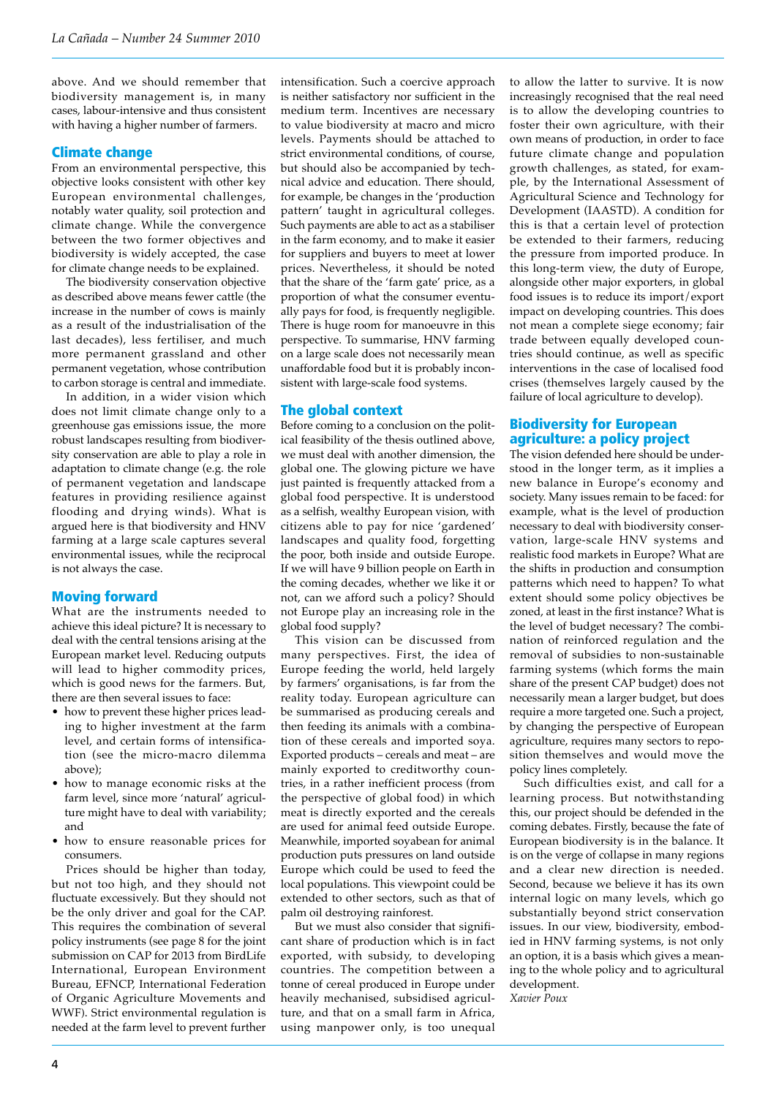above. And we should remember that biodiversity management is, in many cases, labour-intensive and thus consistent with having a higher number of farmers.

### Climate change

From an environmental perspective, this objective looks consistent with other key European environmental challenges, notably water quality, soil protection and climate change. While the convergence between the two former objectives and biodiversity is widely accepted, the case for climate change needs to be explained.

The biodiversity conservation objective as described above means fewer cattle (the increase in the number of cows is mainly as a result of the industrialisation of the last decades), less fertiliser, and much more permanent grassland and other permanent vegetation, whose contribution to carbon storage is central and immediate.

In addition, in a wider vision which does not limit climate change only to a greenhouse gas emissions issue, the more robust landscapes resulting from biodiversity conservation are able to play a role in adaptation to climate change (e.g. the role of permanent vegetation and landscape features in providing resilience against flooding and drying winds). What is argued here is that biodiversity and HNV farming at a large scale captures several environmental issues, while the reciprocal is not always the case.

### Moving forward

What are the instruments needed to achieve this ideal picture? It is necessary to deal with the central tensions arising at the European market level. Reducing outputs will lead to higher commodity prices, which is good news for the farmers. But, there are then several issues to face:

- how to prevent these higher prices leading to higher investment at the farm level, and certain forms of intensification (see the micro-macro dilemma above);
- how to manage economic risks at the farm level, since more 'natural' agriculture might have to deal with variability; and
- how to ensure reasonable prices for consumers.

Prices should be higher than today, but not too high, and they should not fluctuate excessively. But they should not be the only driver and goal for the CAP. This requires the combination of several policy instruments (see page 8 for the joint submission on CAP for 2013 from BirdLife International, European Environment Bureau, EFNCP, International Federation of Organic Agriculture Movements and WWF). Strict environmental regulation is needed at the farm level to prevent further

intensification. Such a coercive approach is neither satisfactory nor sufficient in the medium term. Incentives are necessary to value biodiversity at macro and micro levels. Payments should be attached to strict environmental conditions, of course, but should also be accompanied by technical advice and education. There should, for example, be changes in the 'production pattern' taught in agricultural colleges. Such payments are able to act as a stabiliser in the farm economy, and to make it easier for suppliers and buyers to meet at lower prices. Nevertheless, it should be noted that the share of the 'farm gate' price, as a proportion of what the consumer eventually pays for food, is frequently negligible. There is huge room for manoeuvre in this perspective. To summarise, HNV farming on a large scale does not necessarily mean unaffordable food but it is probably inconsistent with large-scale food systems.

### The global context

Before coming to a conclusion on the political feasibility of the thesis outlined above, we must deal with another dimension, the global one. The glowing picture we have just painted is frequently attacked from a global food perspective. It is understood as a selfish, wealthy European vision, with citizens able to pay for nice 'gardened' landscapes and quality food, forgetting the poor, both inside and outside Europe. If we will have 9 billion people on Earth in the coming decades, whether we like it or not, can we afford such a policy? Should not Europe play an increasing role in the global food supply?

This vision can be discussed from many perspectives. First, the idea of Europe feeding the world, held largely by farmers' organisations, is far from the reality today. European agriculture can be summarised as producing cereals and then feeding its animals with a combination of these cereals and imported soya. Exported products – cereals and meat – are mainly exported to creditworthy countries, in a rather inefficient process (from the perspective of global food) in which meat is directly exported and the cereals are used for animal feed outside Europe. Meanwhile, imported soyabean for animal production puts pressures on land outside Europe which could be used to feed the local populations. This viewpoint could be extended to other sectors, such as that of palm oil destroying rainforest.

But we must also consider that significant share of production which is in fact exported, with subsidy, to developing countries. The competition between a tonne of cereal produced in Europe under heavily mechanised, subsidised agriculture, and that on a small farm in Africa, using manpower only, is too unequal to allow the latter to survive. It is now increasingly recognised that the real need is to allow the developing countries to foster their own agriculture, with their own means of production, in order to face future climate change and population growth challenges, as stated, for example, by the International Assessment of Agricultural Science and Technology for Development (IAASTD). A condition for this is that a certain level of protection be extended to their farmers, reducing the pressure from imported produce. In this long-term view, the duty of Europe, alongside other major exporters, in global food issues is to reduce its import/export impact on developing countries. This does not mean a complete siege economy; fair trade between equally developed countries should continue, as well as specific interventions in the case of localised food crises (themselves largely caused by the failure of local agriculture to develop).

### Biodiversity for European agriculture: a policy project

The vision defended here should be understood in the longer term, as it implies a new balance in Europe's economy and society. Many issues remain to be faced: for example, what is the level of production necessary to deal with biodiversity conservation, large-scale HNV systems and realistic food markets in Europe? What are the shifts in production and consumption patterns which need to happen? To what extent should some policy objectives be zoned, at least in the first instance? What is the level of budget necessary? The combination of reinforced regulation and the removal of subsidies to non-sustainable farming systems (which forms the main share of the present CAP budget) does not necessarily mean a larger budget, but does require a more targeted one. Such a project, by changing the perspective of European agriculture, requires many sectors to reposition themselves and would move the policy lines completely.

Such difficulties exist, and call for a learning process. But notwithstanding this, our project should be defended in the coming debates. Firstly, because the fate of European biodiversity is in the balance. It is on the verge of collapse in many regions and a clear new direction is needed. Second, because we believe it has its own internal logic on many levels, which go substantially beyond strict conservation issues. In our view, biodiversity, embodied in HNV farming systems, is not only an option, it is a basis which gives a meaning to the whole policy and to agricultural development.

*Xavier Poux*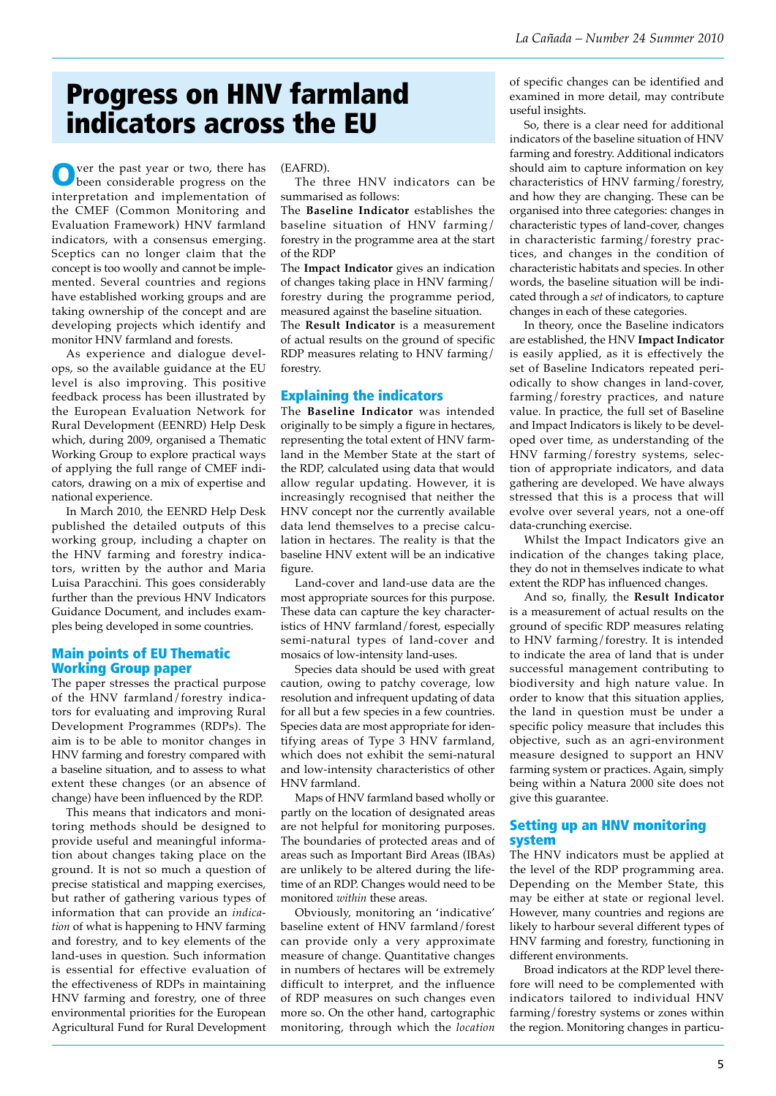# Progress on HNV farmland indicators across the EU

Over the past year or two, there has been considerable progress on the interpretation and implementation of the CMEF (Common Monitoring and Evaluation Framework) HNV farmland indicators, with a consensus emerging. Sceptics can no longer claim that the concept is too woolly and cannot be implemented. Several countries and regions have established working groups and are taking ownership of the concept and are developing projects which identify and monitor HNV farmland and forests.

As experience and dialogue develops, so the available guidance at the EU level is also improving. This positive feedback process has been illustrated by the European Evaluation Network for Rural Development (EENRD) Help Desk which, during 2009, organised a Thematic Working Group to explore practical ways of applying the full range of CMEF indicators, drawing on a mix of expertise and national experience.

In March 2010, the EENRD Help Desk published the detailed outputs of this working group, including a chapter on the HNV farming and forestry indicators, written by the author and Maria Luisa Paracchini. This goes considerably further than the previous HNV Indicators Guidance Document, and includes examples being developed in some countries.

### Main points of EU Thematic Working Group paper

The paper stresses the practical purpose of the HNV farmland/forestry indicators for evaluating and improving Rural Development Programmes (RDPs). The aim is to be able to monitor changes in HNV farming and forestry compared with a baseline situation, and to assess to what extent these changes (or an absence of change) have been influenced by the RDP.

This means that indicators and monitoring methods should be designed to provide useful and meaningful information about changes taking place on the ground. It is not so much a question of precise statistical and mapping exercises, but rather of gathering various types of information that can provide an *indication* of what is happening to HNV farming and forestry, and to key elements of the land-uses in question. Such information is essential for effective evaluation of the effectiveness of RDPs in maintaining HNV farming and forestry, one of three environmental priorities for the European Agricultural Fund for Rural Development

(EAFRD).

The three HNV indicators can be summarised as follows:

The **Baseline Indicator** establishes the baseline situation of HNV farming/ forestry in the programme area at the start of the RDP

The **Impact Indicator** gives an indication of changes taking place in HNV farming/ forestry during the programme period, measured against the baseline situation. The **Result Indicator** is a measurement of actual results on the ground of specific RDP measures relating to HNV farming/ forestry.

## Explaining the indicators

The **Baseline Indicator** was intended originally to be simply a figure in hectares, representing the total extent of HNV farmland in the Member State at the start of the RDP, calculated using data that would allow regular updating. However, it is increasingly recognised that neither the HNV concept nor the currently available data lend themselves to a precise calculation in hectares. The reality is that the baseline HNV extent will be an indicative figure.

Land-cover and land-use data are the most appropriate sources for this purpose. These data can capture the key characteristics of HNV farmland/forest, especially semi-natural types of land-cover and mosaics of low-intensity land-uses.

Species data should be used with great caution, owing to patchy coverage, low resolution and infrequent updating of data for all but a few species in a few countries. Species data are most appropriate for identifying areas of Type 3 HNV farmland, which does not exhibit the semi-natural and low-intensity characteristics of other HNV farmland.

Maps of HNV farmland based wholly or partly on the location of designated areas are not helpful for monitoring purposes. The boundaries of protected areas and of areas such as Important Bird Areas (IBAs) are unlikely to be altered during the lifetime of an RDP. Changes would need to be monitored *within* these areas.

Obviously, monitoring an 'indicative' baseline extent of HNV farmland/forest can provide only a very approximate measure of change. Quantitative changes in numbers of hectares will be extremely difficult to interpret, and the influence of RDP measures on such changes even more so. On the other hand, cartographic monitoring, through which the *location* of specific changes can be identified and examined in more detail, may contribute useful insights.

So, there is a clear need for additional indicators of the baseline situation of HNV farming and forestry. Additional indicators should aim to capture information on key characteristics of HNV farming/forestry, and how they are changing. These can be organised into three categories: changes in characteristic types of land-cover, changes in characteristic farming/forestry practices, and changes in the condition of characteristic habitats and species. In other words, the baseline situation will be indicated through a *set* of indicators, to capture changes in each of these categories.

In theory, once the Baseline indicators are established, the HNV **Impact Indicator** is easily applied, as it is effectively the set of Baseline Indicators repeated periodically to show changes in land-cover, farming/forestry practices, and nature value. In practice, the full set of Baseline and Impact Indicators is likely to be developed over time, as understanding of the HNV farming/forestry systems, selection of appropriate indicators, and data gathering are developed. We have always stressed that this is a process that will evolve over several years, not a one-off data-crunching exercise.

Whilst the Impact Indicators give an indication of the changes taking place, they do not in themselves indicate to what extent the RDP has influenced changes.

And so, finally, the **Result Indicator** is a measurement of actual results on the ground of specific RDP measures relating to HNV farming/forestry. It is intended to indicate the area of land that is under successful management contributing to biodiversity and high nature value. In order to know that this situation applies, the land in question must be under a specific policy measure that includes this objective, such as an agri-environment measure designed to support an HNV farming system or practices. Again, simply being within a Natura 2000 site does not give this guarantee.

### Setting up an HNV monitoring system

The HNV indicators must be applied at the level of the RDP programming area. Depending on the Member State, this may be either at state or regional level. However, many countries and regions are likely to harbour several different types of HNV farming and forestry, functioning in different environments.

Broad indicators at the RDP level therefore will need to be complemented with indicators tailored to individual HNV farming/forestry systems or zones within the region. Monitoring changes in particu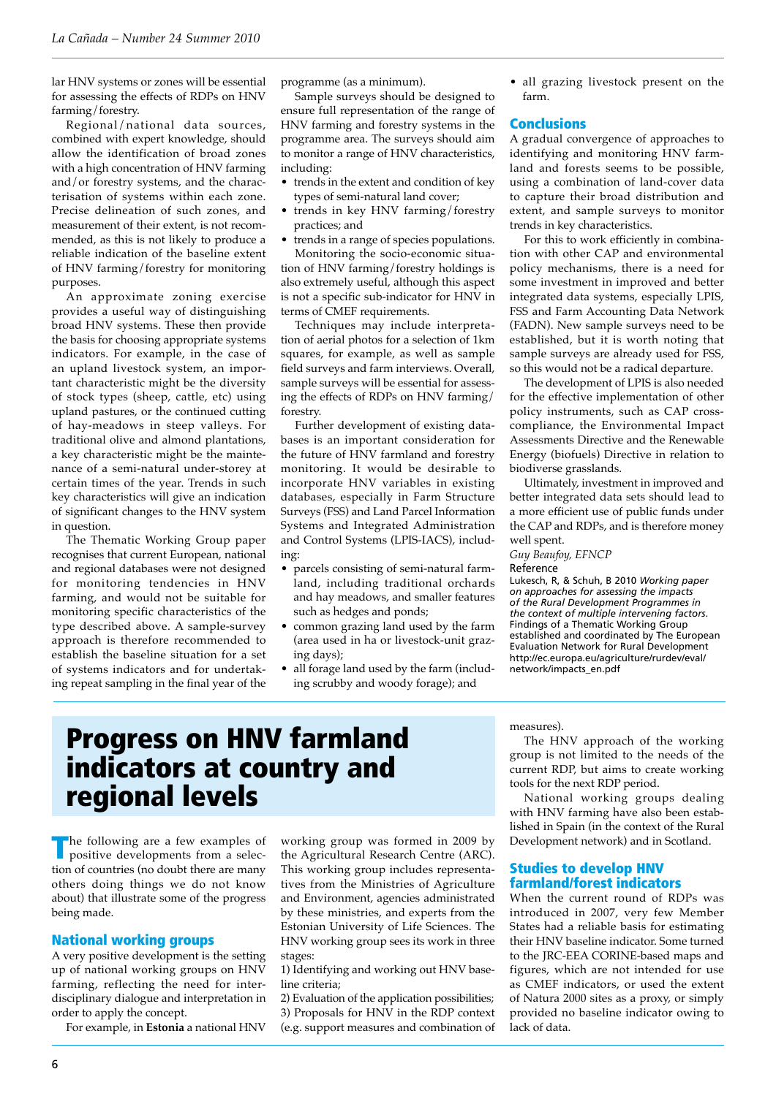lar HNV systems or zones will be essential for assessing the effects of RDPs on HNV farming/forestry.

Regional/national data sources, combined with expert knowledge, should allow the identification of broad zones with a high concentration of HNV farming and/or forestry systems, and the characterisation of systems within each zone. Precise delineation of such zones, and measurement of their extent, is not recommended, as this is not likely to produce a reliable indication of the baseline extent of HNV farming/forestry for monitoring purposes.

An approximate zoning exercise provides a useful way of distinguishing broad HNV systems. These then provide the basis for choosing appropriate systems indicators. For example, in the case of an upland livestock system, an important characteristic might be the diversity of stock types (sheep, cattle, etc) using upland pastures, or the continued cutting of hay-meadows in steep valleys. For traditional olive and almond plantations, a key characteristic might be the maintenance of a semi-natural under-storey at certain times of the year. Trends in such key characteristics will give an indication of significant changes to the HNV system in question.

The Thematic Working Group paper recognises that current European, national and regional databases were not designed for monitoring tendencies in HNV farming, and would not be suitable for monitoring specific characteristics of the type described above. A sample-survey approach is therefore recommended to establish the baseline situation for a set of systems indicators and for undertaking repeat sampling in the final year of the

programme (as a minimum).

Sample surveys should be designed to ensure full representation of the range of HNV farming and forestry systems in the programme area. The surveys should aim to monitor a range of HNV characteristics, including:

- trends in the extent and condition of key types of semi-natural land cover;
- trends in key HNV farming/forestry practices; and
- trends in a range of species populations.

Monitoring the socio-economic situation of HNV farming/forestry holdings is also extremely useful, although this aspect is not a specific sub-indicator for HNV in terms of CMEF requirements.

Techniques may include interpretation of aerial photos for a selection of 1km squares, for example, as well as sample field surveys and farm interviews. Overall, sample surveys will be essential for assessing the effects of RDPs on HNV farming/ forestry.

Further development of existing databases is an important consideration for the future of HNV farmland and forestry monitoring. It would be desirable to incorporate HNV variables in existing databases, especially in Farm Structure Surveys (FSS) and Land Parcel Information Systems and Integrated Administration and Control Systems (LPIS-IACS), including:

- parcels consisting of semi-natural farmland, including traditional orchards and hay meadows, and smaller features such as hedges and ponds;
- common grazing land used by the farm (area used in ha or livestock-unit grazing days);
- all forage land used by the farm (including scrubby and woody forage); and

• all grazing livestock present on the farm.

### **Conclusions**

A gradual convergence of approaches to identifying and monitoring HNV farmland and forests seems to be possible, using a combination of land-cover data to capture their broad distribution and extent, and sample surveys to monitor trends in key characteristics.

For this to work efficiently in combination with other CAP and environmental policy mechanisms, there is a need for some investment in improved and better integrated data systems, especially LPIS, FSS and Farm Accounting Data Network (FADN). New sample surveys need to be established, but it is worth noting that sample surveys are already used for FSS, so this would not be a radical departure.

The development of LPIS is also needed for the effective implementation of other policy instruments, such as CAP crosscompliance, the Environmental Impact Assessments Directive and the Renewable Energy (biofuels) Directive in relation to biodiverse grasslands.

Ultimately, investment in improved and better integrated data sets should lead to a more efficient use of public funds under the CAP and RDPs, and is therefore money well spent.

*Guy Beaufoy, EFNCP*

#### Reference

Lukesch, R, & Schuh, B 2010 *Working paper on approaches for assessing the impacts of the Rural Development Programmes in the context of multiple intervening factors*. Findings of a Thematic Working Group established and coordinated by The European Evaluation Network for Rural Development http://ec.europa.eu/agriculture/rurdev/eval/ network/impacts\_en.pdf

#### measures).

The HNV approach of the working group is not limited to the needs of the current RDP, but aims to create working tools for the next RDP period.

National working groups dealing with HNV farming have also been established in Spain (in the context of the Rural Development network) and in Scotland.

### Studies to develop HNV farmland/forest indicators

When the current round of RDPs was introduced in 2007, very few Member States had a reliable basis for estimating their HNV baseline indicator. Some turned to the JRC-EEA CORINE-based maps and figures, which are not intended for use as CMEF indicators, or used the extent of Natura 2000 sites as a proxy, or simply provided no baseline indicator owing to lack of data.

# Progress on HNV farmland indicators at country and regional levels

The following are a few examples of positive developments from a selection of countries (no doubt there are many others doing things we do not know about) that illustrate some of the progress being made.

### National working groups

A very positive development is the setting up of national working groups on HNV farming, reflecting the need for interdisciplinary dialogue and interpretation in order to apply the concept.

For example, in **Estonia** a national HNV

working group was formed in 2009 by the Agricultural Research Centre (ARC). This working group includes representatives from the Ministries of Agriculture and Environment, agencies administrated by these ministries, and experts from the Estonian University of Life Sciences. The HNV working group sees its work in three stages:

1) Identifying and working out HNV baseline criteria;

2) Evaluation of the application possibilities; 3) Proposals for HNV in the RDP context

(e.g. support measures and combination of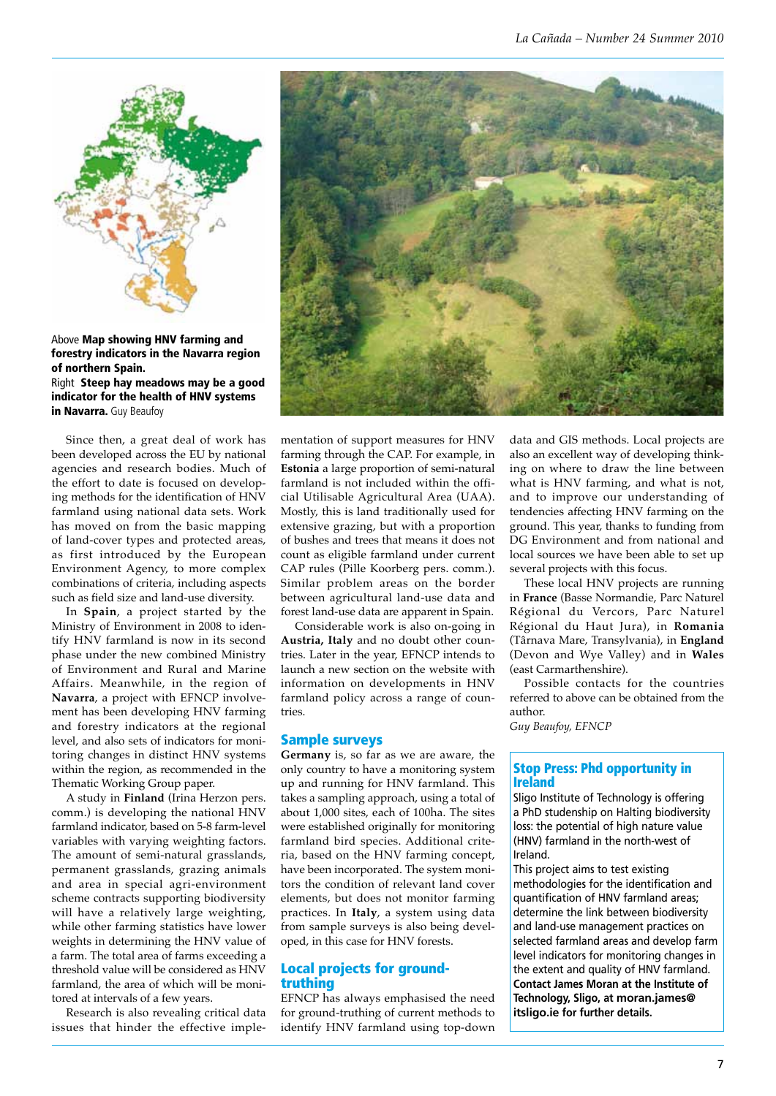

Above Map showing HNV farming and forestry indicators in the Navarra region of northern Spain. Right Steep hay meadows may be a good indicator for the health of HNV systems in Navarra. Guy Beaufoy

Since then, a great deal of work has been developed across the EU by national agencies and research bodies. Much of the effort to date is focused on developing methods for the identification of HNV farmland using national data sets. Work has moved on from the basic mapping of land-cover types and protected areas, as first introduced by the European Environment Agency, to more complex combinations of criteria, including aspects such as field size and land-use diversity.

In **Spain**, a project started by the Ministry of Environment in 2008 to identify HNV farmland is now in its second phase under the new combined Ministry of Environment and Rural and Marine Affairs. Meanwhile, in the region of **Navarra**, a project with EFNCP involvement has been developing HNV farming and forestry indicators at the regional level, and also sets of indicators for monitoring changes in distinct HNV systems within the region, as recommended in the Thematic Working Group paper.

A study in **Finland** (Irina Herzon pers. comm.) is developing the national HNV farmland indicator, based on 5-8 farm-level variables with varying weighting factors. The amount of semi-natural grasslands, permanent grasslands, grazing animals and area in special agri-environment scheme contracts supporting biodiversity will have a relatively large weighting, while other farming statistics have lower weights in determining the HNV value of a farm. The total area of farms exceeding a threshold value will be considered as HNV farmland, the area of which will be monitored at intervals of a few years.

Research is also revealing critical data issues that hinder the effective imple-



mentation of support measures for HNV farming through the CAP. For example, in **Estonia** a large proportion of semi-natural farmland is not included within the official Utilisable Agricultural Area (UAA). Mostly, this is land traditionally used for extensive grazing, but with a proportion of bushes and trees that means it does not count as eligible farmland under current CAP rules (Pille Koorberg pers. comm.). Similar problem areas on the border between agricultural land-use data and forest land-use data are apparent in Spain.

Considerable work is also on-going in **Austria, Italy** and no doubt other countries. Later in the year, EFNCP intends to launch a new section on the website with information on developments in HNV farmland policy across a range of countries.

### Sample surveys

**Germany** is, so far as we are aware, the only country to have a monitoring system up and running for HNV farmland. This takes a sampling approach, using a total of about 1,000 sites, each of 100ha. The sites were established originally for monitoring farmland bird species. Additional criteria, based on the HNV farming concept, have been incorporated. The system monitors the condition of relevant land cover elements, but does not monitor farming practices. In **Italy**, a system using data from sample surveys is also being developed, in this case for HNV forests.

### Local projects for groundtruthing

EFNCP has always emphasised the need for ground-truthing of current methods to identify HNV farmland using top-down data and GIS methods. Local projects are also an excellent way of developing thinking on where to draw the line between what is HNV farming, and what is not, and to improve our understanding of tendencies affecting HNV farming on the ground. This year, thanks to funding from DG Environment and from national and local sources we have been able to set up several projects with this focus.

These local HNV projects are running in **France** (Basse Normandie, Parc Naturel Régional du Vercors, Parc Naturel Régional du Haut Jura), in **Romania** (Târnava Mare, Transylvania), in **England** (Devon and Wye Valley) and in **Wales** (east Carmarthenshire).

Possible contacts for the countries referred to above can be obtained from the author. *Guy Beaufoy, EFNCP*

## Stop Press: Phd opportunity in Ireland

Sligo Institute of Technology is offering a PhD studenship on Halting biodiversity loss: the potential of high nature value (HNV) farmland in the north-west of Ireland.

This project aims to test existing methodologies for the identification and quantification of HNV farmland areas; determine the link between biodiversity and land-use management practices on selected farmland areas and develop farm level indicators for monitoring changes in the extent and quality of HNV farmland. **Contact James Moran at the Institute of Technology, Sligo, at moran.james@ itsligo.ie for further details.**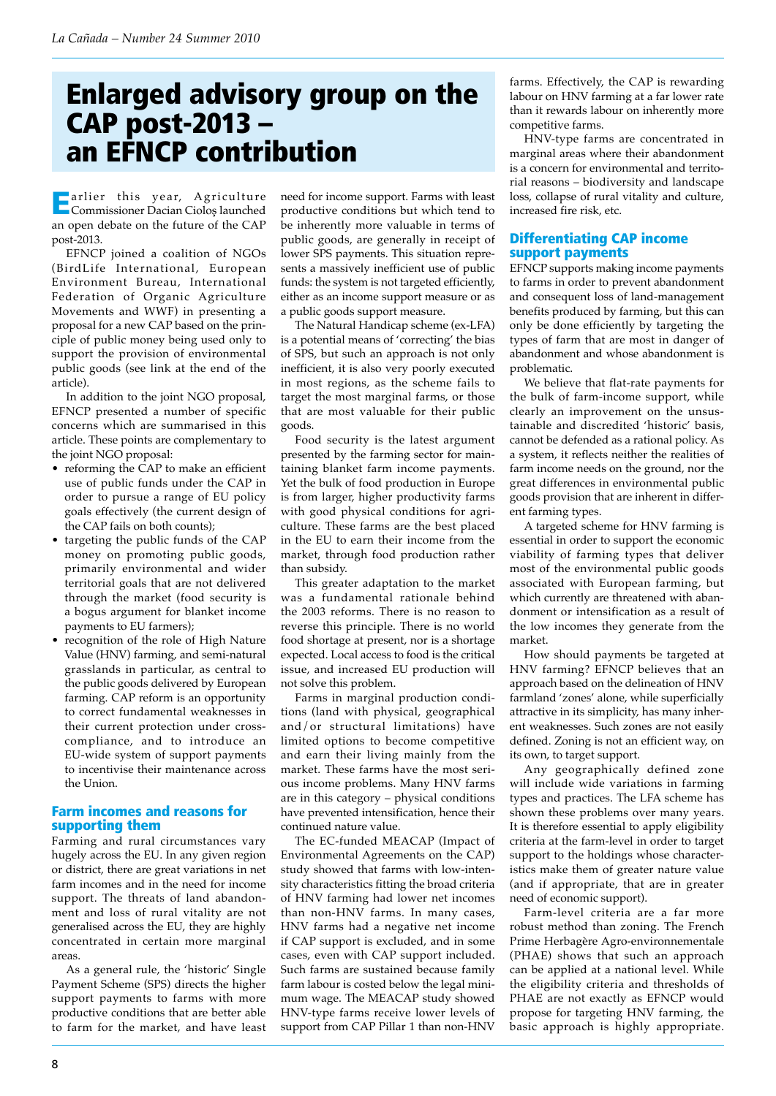# Enlarged advisory group on the CAP post-2013 – an EFNCP contribution

Earlier this year, Agriculture Commissioner Dacian Cioloş launched an open debate on the future of the CAP post-2013.

EFNCP joined a coalition of NGOs (BirdLife International, European Environment Bureau, International Federation of Organic Agriculture Movements and WWF) in presenting a proposal for a new CAP based on the principle of public money being used only to support the provision of environmental public goods (see link at the end of the article).

In addition to the joint NGO proposal, EFNCP presented a number of specific concerns which are summarised in this article. These points are complementary to the joint NGO proposal:

- reforming the CAP to make an efficient use of public funds under the CAP in order to pursue a range of EU policy goals effectively (the current design of the CAP fails on both counts);
- targeting the public funds of the CAP money on promoting public goods, primarily environmental and wider territorial goals that are not delivered through the market (food security is a bogus argument for blanket income payments to EU farmers);
- recognition of the role of High Nature Value (HNV) farming, and semi-natural grasslands in particular, as central to the public goods delivered by European farming. CAP reform is an opportunity to correct fundamental weaknesses in their current protection under crosscompliance, and to introduce an EU-wide system of support payments to incentivise their maintenance across the Union.

## Farm incomes and reasons for supporting them

Farming and rural circumstances vary hugely across the EU. In any given region or district, there are great variations in net farm incomes and in the need for income support. The threats of land abandonment and loss of rural vitality are not generalised across the EU, they are highly concentrated in certain more marginal areas.

As a general rule, the 'historic' Single Payment Scheme (SPS) directs the higher support payments to farms with more productive conditions that are better able to farm for the market, and have least

need for income support. Farms with least productive conditions but which tend to be inherently more valuable in terms of public goods, are generally in receipt of lower SPS payments. This situation represents a massively inefficient use of public funds: the system is not targeted efficiently, either as an income support measure or as a public goods support measure.

The Natural Handicap scheme (ex-LFA) is a potential means of 'correcting' the bias of SPS, but such an approach is not only inefficient, it is also very poorly executed in most regions, as the scheme fails to target the most marginal farms, or those that are most valuable for their public goods.

Food security is the latest argument presented by the farming sector for maintaining blanket farm income payments. Yet the bulk of food production in Europe is from larger, higher productivity farms with good physical conditions for agriculture. These farms are the best placed in the EU to earn their income from the market, through food production rather than subsidy.

This greater adaptation to the market was a fundamental rationale behind the 2003 reforms. There is no reason to reverse this principle. There is no world food shortage at present, nor is a shortage expected. Local access to food is the critical issue, and increased EU production will not solve this problem.

Farms in marginal production conditions (land with physical, geographical and/or structural limitations) have limited options to become competitive and earn their living mainly from the market. These farms have the most serious income problems. Many HNV farms are in this category – physical conditions have prevented intensification, hence their continued nature value.

The EC-funded MEACAP (Impact of Environmental Agreements on the CAP) study showed that farms with low-intensity characteristics fitting the broad criteria of HNV farming had lower net incomes than non-HNV farms. In many cases, HNV farms had a negative net income if CAP support is excluded, and in some cases, even with CAP support included. Such farms are sustained because family farm labour is costed below the legal minimum wage. The MEACAP study showed HNV-type farms receive lower levels of support from CAP Pillar 1 than non-HNV

farms. Effectively, the CAP is rewarding labour on HNV farming at a far lower rate than it rewards labour on inherently more competitive farms.

HNV-type farms are concentrated in marginal areas where their abandonment is a concern for environmental and territorial reasons – biodiversity and landscape loss, collapse of rural vitality and culture, increased fire risk, etc.

## Differentiating CAP income support payments

EFNCP supports making income payments to farms in order to prevent abandonment and consequent loss of land-management benefits produced by farming, but this can only be done efficiently by targeting the types of farm that are most in danger of abandonment and whose abandonment is problematic.

We believe that flat-rate payments for the bulk of farm-income support, while clearly an improvement on the unsustainable and discredited 'historic' basis, cannot be defended as a rational policy. As a system, it reflects neither the realities of farm income needs on the ground, nor the great differences in environmental public goods provision that are inherent in different farming types.

A targeted scheme for HNV farming is essential in order to support the economic viability of farming types that deliver most of the environmental public goods associated with European farming, but which currently are threatened with abandonment or intensification as a result of the low incomes they generate from the market.

How should payments be targeted at HNV farming? EFNCP believes that an approach based on the delineation of HNV farmland 'zones' alone, while superficially attractive in its simplicity, has many inherent weaknesses. Such zones are not easily defined. Zoning is not an efficient way, on its own, to target support.

Any geographically defined zone will include wide variations in farming types and practices. The LFA scheme has shown these problems over many years. It is therefore essential to apply eligibility criteria at the farm-level in order to target support to the holdings whose characteristics make them of greater nature value (and if appropriate, that are in greater need of economic support).

Farm-level criteria are a far more robust method than zoning. The French Prime Herbagère Agro-environnementale (PHAE) shows that such an approach can be applied at a national level. While the eligibility criteria and thresholds of PHAE are not exactly as EFNCP would propose for targeting HNV farming, the basic approach is highly appropriate.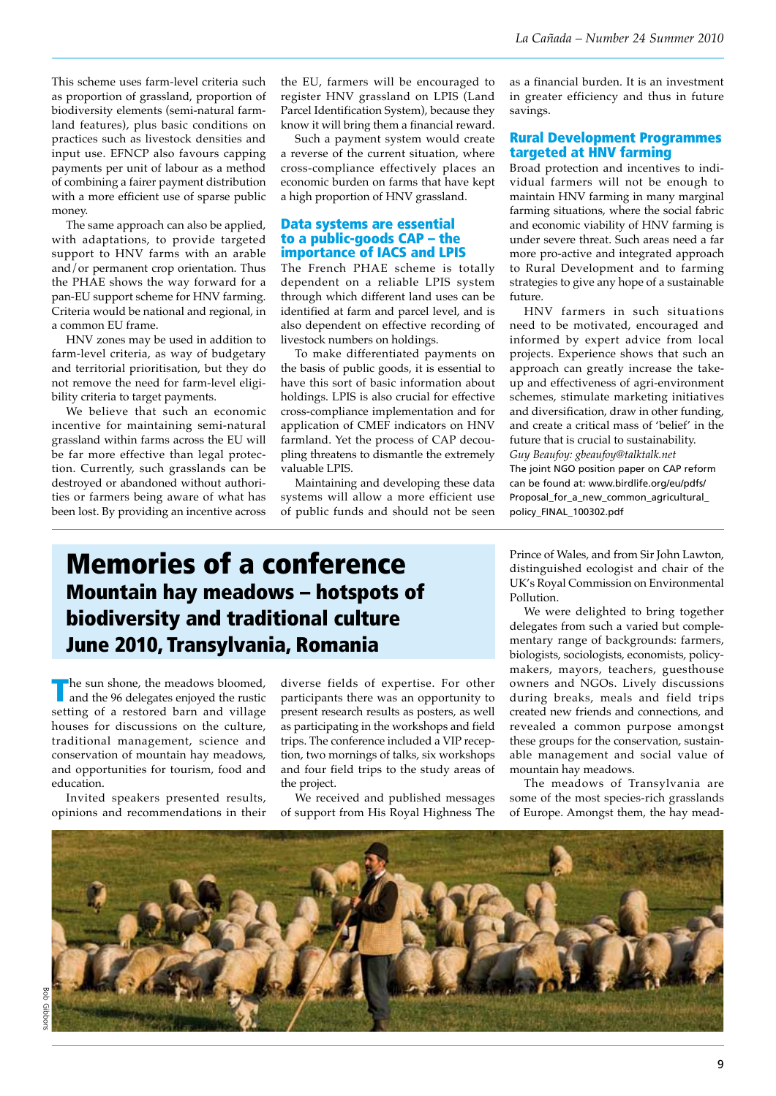This scheme uses farm-level criteria such as proportion of grassland, proportion of biodiversity elements (semi-natural farmland features), plus basic conditions on practices such as livestock densities and input use. EFNCP also favours capping payments per unit of labour as a method of combining a fairer payment distribution with a more efficient use of sparse public money.

The same approach can also be applied, with adaptations, to provide targeted support to HNV farms with an arable and/or permanent crop orientation. Thus the PHAE shows the way forward for a pan-EU support scheme for HNV farming. Criteria would be national and regional, in a common EU frame.

HNV zones may be used in addition to farm-level criteria, as way of budgetary and territorial prioritisation, but they do not remove the need for farm-level eligibility criteria to target payments.

We believe that such an economic incentive for maintaining semi-natural grassland within farms across the EU will be far more effective than legal protection. Currently, such grasslands can be destroyed or abandoned without authorities or farmers being aware of what has been lost. By providing an incentive across

the EU, farmers will be encouraged to register HNV grassland on LPIS (Land Parcel Identification System), because they know it will bring them a financial reward.

Such a payment system would create a reverse of the current situation, where cross-compliance effectively places an economic burden on farms that have kept a high proportion of HNV grassland.

### Data systems are essential to a public-goods CAP – the importance of IACS and LPIS

The French PHAE scheme is totally dependent on a reliable LPIS system through which different land uses can be identified at farm and parcel level, and is also dependent on effective recording of livestock numbers on holdings.

To make differentiated payments on the basis of public goods, it is essential to have this sort of basic information about holdings. LPIS is also crucial for effective cross-compliance implementation and for application of CMEF indicators on HNV farmland. Yet the process of CAP decoupling threatens to dismantle the extremely valuable LPIS.

Maintaining and developing these data systems will allow a more efficient use of public funds and should not be seen as a financial burden. It is an investment in greater efficiency and thus in future savings.

### Rural Development Programmes targeted at HNV farming

Broad protection and incentives to individual farmers will not be enough to maintain HNV farming in many marginal farming situations, where the social fabric and economic viability of HNV farming is under severe threat. Such areas need a far more pro-active and integrated approach to Rural Development and to farming strategies to give any hope of a sustainable future.

HNV farmers in such situations need to be motivated, encouraged and informed by expert advice from local projects. Experience shows that such an approach can greatly increase the takeup and effectiveness of agri-environment schemes, stimulate marketing initiatives and diversification, draw in other funding, and create a critical mass of 'belief' in the future that is crucial to sustainability. *Guy Beaufoy: gbeaufoy@talktalk.net* The joint NGO position paper on CAP reform can be found at: www.birdlife.org/eu/pdfs/ Proposal\_for\_a\_new\_common\_agricultural\_

## Memories of a conference Mountain hay meadows – hotspots of biodiversity and traditional culture June 2010, Transylvania, Romania

The sun shone, the meadows bloomed, and the 96 delegates enjoyed the rustic setting of a restored barn and village houses for discussions on the culture, traditional management, science and conservation of mountain hay meadows, and opportunities for tourism, food and education.

Invited speakers presented results, opinions and recommendations in their

diverse fields of expertise. For other participants there was an opportunity to present research results as posters, as well as participating in the workshops and field trips. The conference included a VIP reception, two mornings of talks, six workshops and four field trips to the study areas of the project.

We received and published messages of support from His Royal Highness The Prince of Wales, and from Sir John Lawton, distinguished ecologist and chair of the UK's Royal Commission on Environmental Pollution.

policy\_FINAL\_100302.pdf

We were delighted to bring together delegates from such a varied but complementary range of backgrounds: farmers, biologists, sociologists, economists, policymakers, mayors, teachers, guesthouse owners and NGOs. Lively discussions during breaks, meals and field trips created new friends and connections, and revealed a common purpose amongst these groups for the conservation, sustainable management and social value of mountain hay meadows.

The meadows of Transylvania are some of the most species-rich grasslands of Europe. Amongst them, the hay mead-

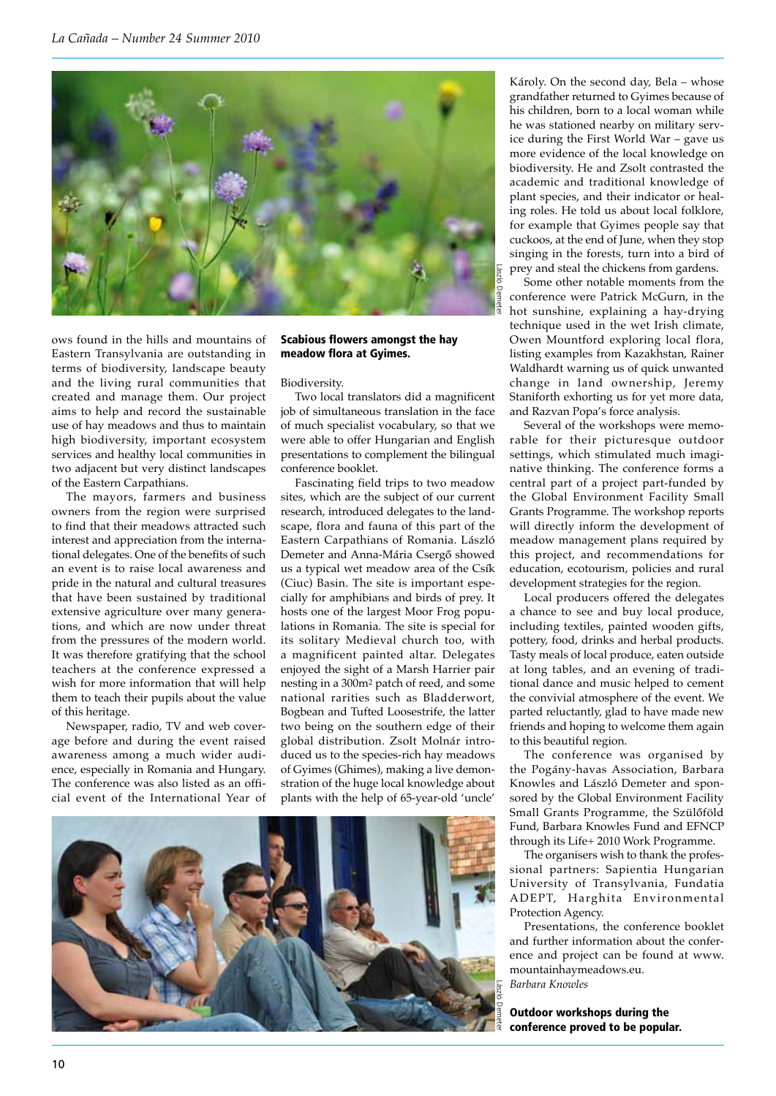

ows found in the hills and mountains of Eastern Transylvania are outstanding in terms of biodiversity, landscape beauty and the living rural communities that created and manage them. Our project aims to help and record the sustainable use of hay meadows and thus to maintain high biodiversity, important ecosystem services and healthy local communities in two adjacent but very distinct landscapes of the Eastern Carpathians.

The mayors, farmers and business owners from the region were surprised to find that their meadows attracted such interest and appreciation from the international delegates. One of the benefits of such an event is to raise local awareness and pride in the natural and cultural treasures that have been sustained by traditional extensive agriculture over many generations, and which are now under threat from the pressures of the modern world. It was therefore gratifying that the school teachers at the conference expressed a wish for more information that will help them to teach their pupils about the value of this heritage.

Newspaper, radio, TV and web coverage before and during the event raised awareness among a much wider audience, especially in Romania and Hungary. The conference was also listed as an official event of the International Year of

### Scabious flowers amongst the hay meadow flora at Gyimes.

#### Biodiversity.

Two local translators did a magnificent job of simultaneous translation in the face of much specialist vocabulary, so that we were able to offer Hungarian and English presentations to complement the bilingual conference booklet.

Fascinating field trips to two meadow sites, which are the subject of our current research, introduced delegates to the landscape, flora and fauna of this part of the Eastern Carpathians of Romania. László Demeter and Anna-Mária Csergő showed us a typical wet meadow area of the Csík (Ciuc) Basin. The site is important especially for amphibians and birds of prey. It hosts one of the largest Moor Frog populations in Romania. The site is special for its solitary Medieval church too, with a magnificent painted altar. Delegates enjoyed the sight of a Marsh Harrier pair nesting in a 300m2 patch of reed, and some national rarities such as Bladderwort, Bogbean and Tufted Loosestrife, the latter two being on the southern edge of their global distribution. Zsolt Molnár introduced us to the species-rich hay meadows of Gyimes (Ghimes), making a live demonstration of the huge local knowledge about plants with the help of 65-year-old 'uncle'



Károly. On the second day, Bela – whose grandfather returned to Gyimes because of his children, born to a local woman while he was stationed nearby on military service during the First World War – gave us more evidence of the local knowledge on biodiversity. He and Zsolt contrasted the academic and traditional knowledge of plant species, and their indicator or healing roles. He told us about local folklore, for example that Gyimes people say that cuckoos, at the end of June, when they stop singing in the forests, turn into a bird of prey and steal the chickens from gardens.

Some other notable moments from the conference were Patrick McGurn, in the hot sunshine, explaining a hay-drying technique used in the wet Irish climate, Owen Mountford exploring local flora, listing examples from Kazakhstan, Rainer Waldhardt warning us of quick unwanted change in land ownership, Jeremy Staniforth exhorting us for yet more data, and Razvan Popa's force analysis.

Several of the workshops were memorable for their picturesque outdoor settings, which stimulated much imaginative thinking. The conference forms a central part of a project part-funded by the Global Environment Facility Small Grants Programme. The workshop reports will directly inform the development of meadow management plans required by this project, and recommendations for education, ecotourism, policies and rural development strategies for the region.

Local producers offered the delegates a chance to see and buy local produce, including textiles, painted wooden gifts, pottery, food, drinks and herbal products. Tasty meals of local produce, eaten outside at long tables, and an evening of traditional dance and music helped to cement the convivial atmosphere of the event. We parted reluctantly, glad to have made new friends and hoping to welcome them again to this beautiful region.

The conference was organised by the Pogány-havas Association, Barbara Knowles and László Demeter and sponsored by the Global Environment Facility Small Grants Programme, the Szülőföld Fund, Barbara Knowles Fund and EFNCP through its Life+ 2010 Work Programme.

The organisers wish to thank the professional partners: Sapientia Hungarian University of Transylvania, Fundatia ADEPT, Harghita Environmental Protection Agency.

Presentations, the conference booklet and further information about the conference and project can be found at www. mountainhaymeadows.eu. *Barbara Knowles*

Outdoor workshops during the conference proved to be popular.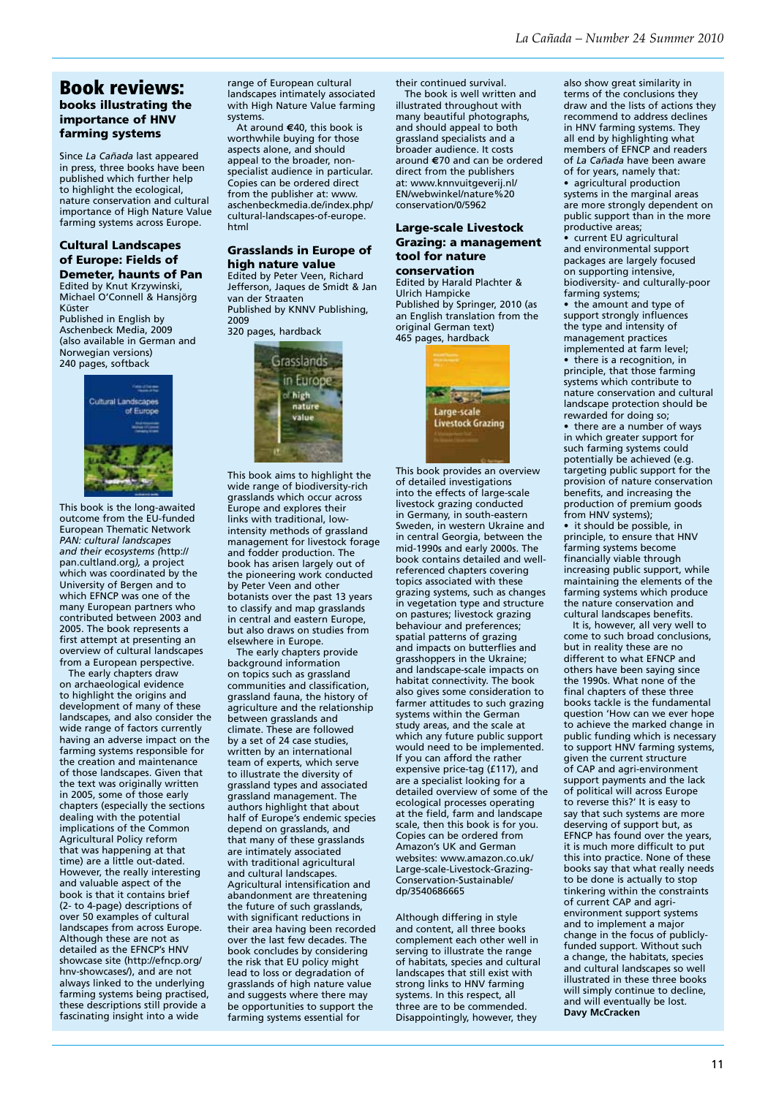## Book reviews: books illustrating the importance of HNV farming systems

Since *La Cañada* last appeared in press, three books have been published which further help to highlight the ecological, nature conservation and cultural importance of High Nature Value farming systems across Europe.

#### Cultural Landscapes of Europe: Fields of Demeter, haunts of Pan

Edited by Knut Krzywinski, Michael O'Connell & Hansjörg Küster

Published in English by Aschenbeck Media, 2009 (also available in German and Norwegian versions) 240 pages, softback



This book is the long-awaited outcome from the EU-funded European Thematic Network *PAN: cultural landscapes and their ecosystems (*http:// pan.cultland.org*),* a project which was coordinated by the University of Bergen and to which EFNCP was one of the many European partners who contributed between 2003 and 2005. The book represents a first attempt at presenting an overview of cultural landscapes from a European perspective.

 The early chapters draw on archaeological evidence to highlight the origins and development of many of these landscapes, and also consider the wide range of factors currently having an adverse impact on the farming systems responsible for the creation and maintenance of those landscapes. Given that the text was originally written in 2005, some of those early chapters (especially the sections dealing with the potential implications of the Common Agricultural Policy reform that was happening at that time) are a little out-dated. However, the really interesting and valuable aspect of the book is that it contains brief (2- to 4-page) descriptions of over 50 examples of cultural landscapes from across Europe. Although these are not as detailed as the EFNCP's HNV showcase site (http://efncp.org/ hnv-showcases/), and are not always linked to the underlying farming systems being practised, these descriptions still provide a fascinating insight into a wide

range of European cultural landscapes intimately associated with High Nature Value farming systems.

 At around **€**40, this book is worthwhile buying for those aspects alone, and should appeal to the broader, nonspecialist audience in particular. Copies can be ordered direct from the publisher at: www. aschenbeckmedia.de/index.php/ cultural-landscapes-of-europe. html

#### Grasslands in Europe of high nature value

Edited by Peter Veen, Richard Jefferson, Jaques de Smidt & Jan van der Straaten Published by KNNV Publishing, 2009

320 pages, hardback



This book aims to highlight the wide range of biodiversity-rich grasslands which occur across Europe and explores their links with traditional, lowintensity methods of grassland management for livestock forage and fodder production. The book has arisen largely out of the pioneering work conducted by Peter Veen and other botanists over the past 13 years to classify and map grasslands in central and eastern Europe, but also draws on studies from elsewhere in Europe.

 The early chapters provide background information on topics such as grassland communities and classification, grassland fauna, the history of agriculture and the relationship between grasslands and climate. These are followed by a set of 24 case studies, written by an international team of experts, which serve to illustrate the diversity of grassland types and associated grassland management. The authors highlight that about half of Europe's endemic species depend on grasslands, and that many of these grasslands are intimately associated with traditional agricultural and cultural landscapes. Agricultural intensification and abandonment are threatening the future of such grasslands, with significant reductions in their area having been recorded over the last few decades. The book concludes by considering the risk that EU policy might lead to loss or degradation of grasslands of high nature value and suggests where there may be opportunities to support the farming systems essential for

their continued survival. The book is well written and

illustrated throughout with many beautiful photographs, and should appeal to both grassland specialists and a broader audience. It costs around **€**70 and can be ordered direct from the publishers at: www.knnvuitgeverij.nl/ EN/webwinkel/nature%20 conservation/0/5962

#### Large-scale Livestock Grazing: a management tool for nature conservation

Edited by Harald Plachter & Ulrich Hampicke Published by Springer, 2010 (as an English translation from the original German text) 465 pages, hardback



This book provides an overview of detailed investigations into the effects of large-scale livestock grazing conducted in Germany, in south-eastern Sweden, in western Ukraine and in central Georgia, between the mid-1990s and early 2000s. The book contains detailed and wellreferenced chapters covering topics associated with these grazing systems, such as changes in vegetation type and structure on pastures; livestock grazing behaviour and preferences; spatial patterns of grazing and impacts on butterflies and grasshoppers in the Ukraine; and landscape-scale impacts on habitat connectivity. The book also gives some consideration to farmer attitudes to such grazing systems within the German study areas, and the scale at which any future public support would need to be implemented. If you can afford the rather expensive price-tag (£117), and are a specialist looking for a detailed overview of some of the ecological processes operating at the field, farm and landscape scale, then this book is for you. Copies can be ordered from Amazon's UK and German websites: www.amazon.co.uk/ Large-scale-Livestock-Grazing-Conservation-Sustainable/ dp/3540686665

Although differing in style and content, all three books complement each other well in serving to illustrate the range of habitats, species and cultural landscapes that still exist with strong links to HNV farming systems. In this respect, all three are to be commended. Disappointingly, however, they

also show great similarity in terms of the conclusions they draw and the lists of actions they recommend to address declines in HNV farming systems. They all end by highlighting what members of EFNCP and readers of *La Cañada* have been aware of for years, namely that: agricultural production systems in the marginal areas are more strongly dependent on public support than in the more productive areas;

• current EU agricultural and environmental support packages are largely focused on supporting intensive, biodiversity- and culturally-poor farming systems;

• the amount and type of support strongly influences the type and intensity of management practices implemented at farm level;

• there is a recognition, in principle, that those farming systems which contribute to nature conservation and cultural landscape protection should be rewarded for doing so;

• there are a number of ways in which greater support for such farming systems could potentially be achieved (e.g. targeting public support for the provision of nature conservation benefits, and increasing the production of premium goods from HNV systems);

• it should be possible, in principle, to ensure that HNV farming systems become financially viable through increasing public support, while maintaining the elements of the farming systems which produce the nature conservation and cultural landscapes benefits.

 It is, however, all very well to come to such broad conclusions, but in reality these are no different to what EFNCP and others have been saying since the 1990s. What none of the final chapters of these three books tackle is the fundamental question 'How can we ever hope to achieve the marked change in public funding which is necessary to support HNV farming systems, given the current structure of CAP and agri-environment support payments and the lack of political will across Europe to reverse this?' It is easy to say that such systems are more deserving of support but, as EFNCP has found over the years, it is much more difficult to put this into practice. None of these books say that what really needs to be done is actually to stop tinkering within the constraints of current CAP and agrienvironment support systems and to implement a major change in the focus of publiclyfunded support. Without such a change, the habitats, species and cultural landscapes so well illustrated in these three books will simply continue to decline, and will eventually be lost. **Davy McCracken**